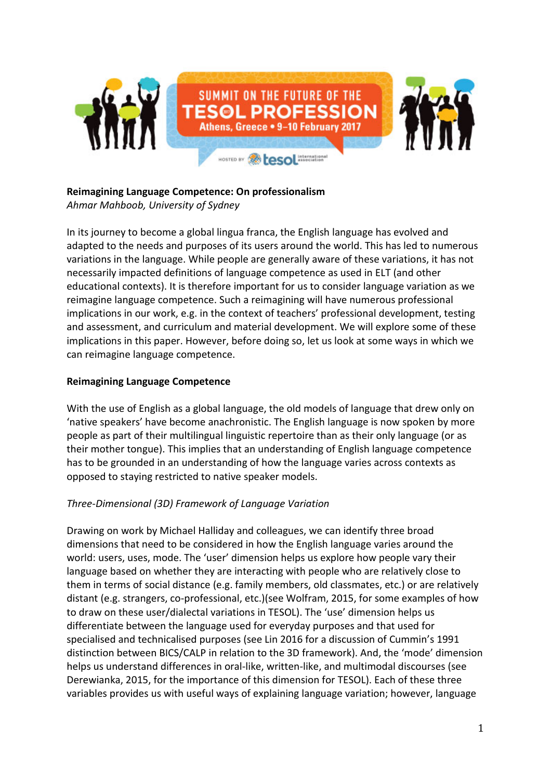

#### **Reimagining Language Competence: On professionalism** *Ahmar Mahboob, University of Sydney*

In its journey to become a global lingua franca, the English language has evolved and adapted to the needs and purposes of its users around the world. This has led to numerous variations in the language. While people are generally aware of these variations, it has not necessarily impacted definitions of language competence as used in ELT (and other educational contexts). It is therefore important for us to consider language variation as we reimagine language competence. Such a reimagining will have numerous professional implications in our work, e.g. in the context of teachers' professional development, testing and assessment, and curriculum and material development. We will explore some of these implications in this paper. However, before doing so, let us look at some ways in which we can reimagine language competence.

## **Reimagining Language Competence**

With the use of English as a global language, the old models of language that drew only on 'native speakers' have become anachronistic. The English language is now spoken by more people as part of their multilingual linguistic repertoire than as their only language (or as their mother tongue). This implies that an understanding of English language competence has to be grounded in an understanding of how the language varies across contexts as opposed to staying restricted to native speaker models.

# *Three-Dimensional (3D) Framework of Language Variation*

Drawing on work by Michael Halliday and colleagues, we can identify three broad dimensions that need to be considered in how the English language varies around the world: users, uses, mode. The 'user' dimension helps us explore how people vary their language based on whether they are interacting with people who are relatively close to them in terms of social distance (e.g. family members, old classmates, etc.) or are relatively distant (e.g. strangers, co-professional, etc.)(see Wolfram, 2015, for some examples of how to draw on these user/dialectal variations in TESOL). The 'use' dimension helps us differentiate between the language used for everyday purposes and that used for specialised and technicalised purposes (see Lin 2016 for a discussion of Cummin's 1991 distinction between BICS/CALP in relation to the 3D framework). And, the 'mode' dimension helps us understand differences in oral-like, written-like, and multimodal discourses (see Derewianka, 2015, for the importance of this dimension for TESOL). Each of these three variables provides us with useful ways of explaining language variation; however, language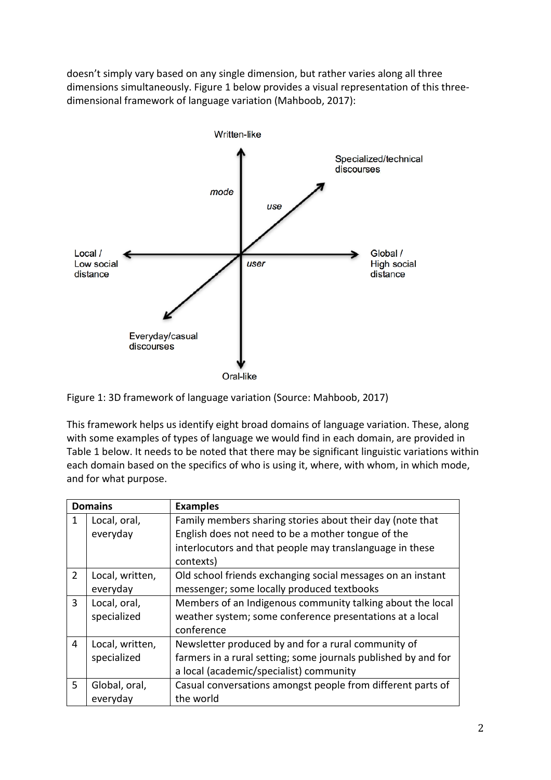doesn't simply vary based on any single dimension, but rather varies along all three dimensions simultaneously. Figure 1 below provides a visual representation of this threedimensional framework of language variation (Mahboob, 2017):



Figure 1: 3D framework of language variation (Source: Mahboob, 2017)

This framework helps us identify eight broad domains of language variation. These, along with some examples of types of language we would find in each domain, are provided in Table 1 below. It needs to be noted that there may be significant linguistic variations within each domain based on the specifics of who is using it, where, with whom, in which mode, and for what purpose.

| <b>Domains</b> |                                | <b>Examples</b>                                                                                                                                                                          |
|----------------|--------------------------------|------------------------------------------------------------------------------------------------------------------------------------------------------------------------------------------|
| 1              | Local, oral,<br>everyday       | Family members sharing stories about their day (note that<br>English does not need to be a mother tongue of the<br>interlocutors and that people may translanguage in these<br>contexts) |
| $\overline{2}$ | Local, written,<br>everyday    | Old school friends exchanging social messages on an instant<br>messenger; some locally produced textbooks                                                                                |
| 3              | Local, oral,<br>specialized    | Members of an Indigenous community talking about the local<br>weather system; some conference presentations at a local<br>conference                                                     |
| 4              | Local, written,<br>specialized | Newsletter produced by and for a rural community of<br>farmers in a rural setting; some journals published by and for<br>a local (academic/specialist) community                         |
| 5              | Global, oral,<br>everyday      | Casual conversations amongst people from different parts of<br>the world                                                                                                                 |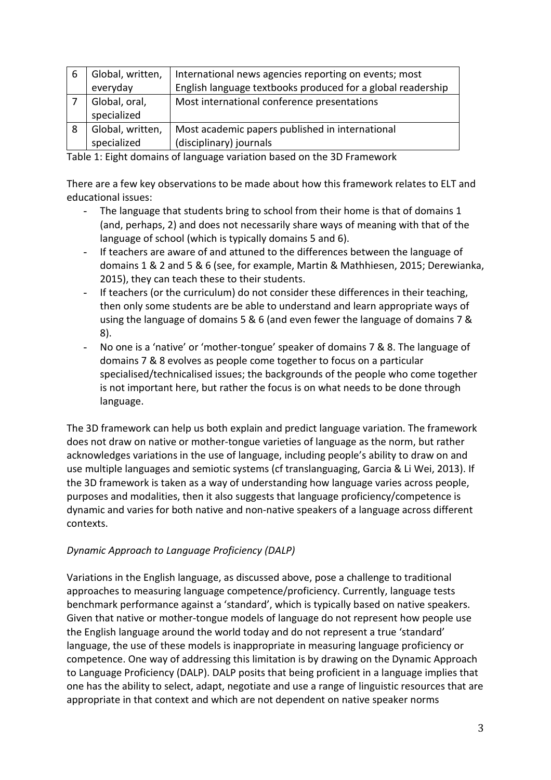| 6 | Global, written, | International news agencies reporting on events; most       |
|---|------------------|-------------------------------------------------------------|
|   | everyday         | English language textbooks produced for a global readership |
|   | Global, oral,    | Most international conference presentations                 |
|   | specialized      |                                                             |
| 8 | Global, written, | Most academic papers published in international             |
|   | specialized      | (disciplinary) journals                                     |

Table 1: Eight domains of language variation based on the 3D Framework

There are a few key observations to be made about how this framework relates to ELT and educational issues:

- The language that students bring to school from their home is that of domains 1 (and, perhaps, 2) and does not necessarily share ways of meaning with that of the language of school (which is typically domains 5 and 6).
- If teachers are aware of and attuned to the differences between the language of domains 1 & 2 and 5 & 6 (see, for example, Martin & Mathhiesen, 2015; Derewianka, 2015), they can teach these to their students.
- If teachers (or the curriculum) do not consider these differences in their teaching, then only some students are be able to understand and learn appropriate ways of using the language of domains 5 & 6 (and even fewer the language of domains 7 & 8).
- No one is a 'native' or 'mother-tongue' speaker of domains 7 & 8. The language of domains 7 & 8 evolves as people come together to focus on a particular specialised/technicalised issues; the backgrounds of the people who come together is not important here, but rather the focus is on what needs to be done through language.

The 3D framework can help us both explain and predict language variation. The framework does not draw on native or mother-tongue varieties of language as the norm, but rather acknowledges variations in the use of language, including people's ability to draw on and use multiple languages and semiotic systems (cf translanguaging, Garcia & Li Wei, 2013). If the 3D framework is taken as a way of understanding how language varies across people, purposes and modalities, then it also suggests that language proficiency/competence is dynamic and varies for both native and non-native speakers of a language across different contexts.

# *Dynamic Approach to Language Proficiency (DALP)*

Variations in the English language, as discussed above, pose a challenge to traditional approaches to measuring language competence/proficiency. Currently, language tests benchmark performance against a 'standard', which is typically based on native speakers. Given that native or mother-tongue models of language do not represent how people use the English language around the world today and do not represent a true 'standard' language, the use of these models is inappropriate in measuring language proficiency or competence. One way of addressing this limitation is by drawing on the Dynamic Approach to Language Proficiency (DALP). DALP posits that being proficient in a language implies that one has the ability to select, adapt, negotiate and use a range of linguistic resources that are appropriate in that context and which are not dependent on native speaker norms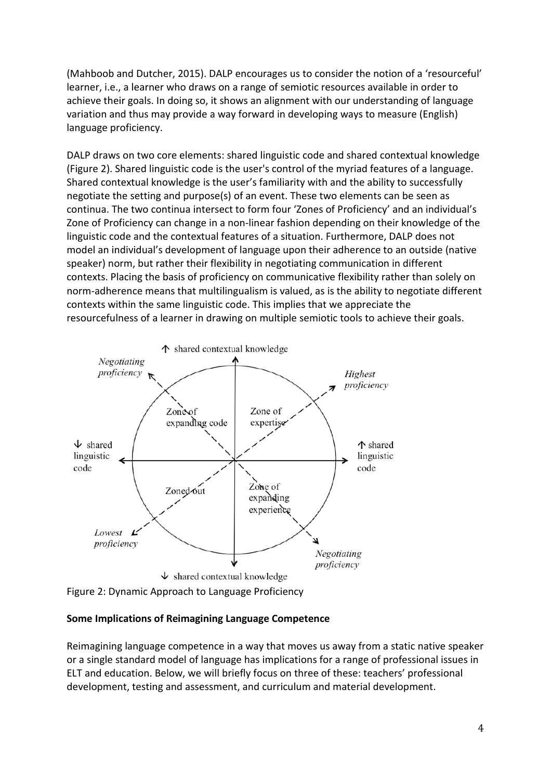(Mahboob and Dutcher, 2015). DALP encourages us to consider the notion of a 'resourceful' learner, i.e., a learner who draws on a range of semiotic resources available in order to achieve their goals. In doing so, it shows an alignment with our understanding of language variation and thus may provide a way forward in developing ways to measure (English) language proficiency.

DALP draws on two core elements: shared linguistic code and shared contextual knowledge (Figure 2). Shared linguistic code is the user's control of the myriad features of a language. Shared contextual knowledge is the user's familiarity with and the ability to successfully negotiate the setting and purpose(s) of an event. These two elements can be seen as continua. The two continua intersect to form four 'Zones of Proficiency' and an individual's Zone of Proficiency can change in a non-linear fashion depending on their knowledge of the linguistic code and the contextual features of a situation. Furthermore, DALP does not model an individual's development of language upon their adherence to an outside (native speaker) norm, but rather their flexibility in negotiating communication in different contexts. Placing the basis of proficiency on communicative flexibility rather than solely on norm-adherence means that multilingualism is valued, as is the ability to negotiate different contexts within the same linguistic code. This implies that we appreciate the resourcefulness of a learner in drawing on multiple semiotic tools to achieve their goals.



Figure 2: Dynamic Approach to Language Proficiency

## **Some Implications of Reimagining Language Competence**

Reimagining language competence in a way that moves us away from a static native speaker or a single standard model of language has implications for a range of professional issues in ELT and education. Below, we will briefly focus on three of these: teachers' professional development, testing and assessment, and curriculum and material development.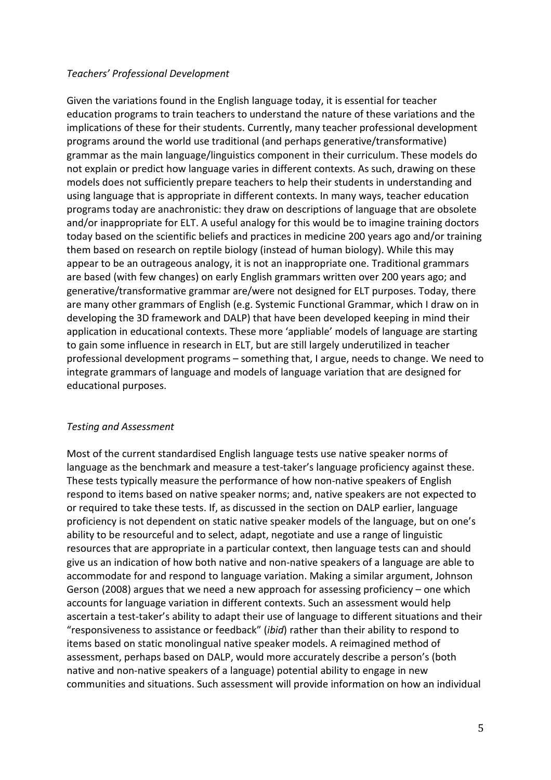#### *Teachers' Professional Development*

Given the variations found in the English language today, it is essential for teacher education programs to train teachers to understand the nature of these variations and the implications of these for their students. Currently, many teacher professional development programs around the world use traditional (and perhaps generative/transformative) grammar as the main language/linguistics component in their curriculum. These models do not explain or predict how language varies in different contexts. As such, drawing on these models does not sufficiently prepare teachers to help their students in understanding and using language that is appropriate in different contexts. In many ways, teacher education programs today are anachronistic: they draw on descriptions of language that are obsolete and/or inappropriate for ELT. A useful analogy for this would be to imagine training doctors today based on the scientific beliefs and practices in medicine 200 years ago and/or training them based on research on reptile biology (instead of human biology). While this may appear to be an outrageous analogy, it is not an inappropriate one. Traditional grammars are based (with few changes) on early English grammars written over 200 years ago; and generative/transformative grammar are/were not designed for ELT purposes. Today, there are many other grammars of English (e.g. Systemic Functional Grammar, which I draw on in developing the 3D framework and DALP) that have been developed keeping in mind their application in educational contexts. These more 'appliable' models of language are starting to gain some influence in research in ELT, but are still largely underutilized in teacher professional development programs – something that, I argue, needs to change. We need to integrate grammars of language and models of language variation that are designed for educational purposes.

## *Testing and Assessment*

Most of the current standardised English language tests use native speaker norms of language as the benchmark and measure a test-taker's language proficiency against these. These tests typically measure the performance of how non-native speakers of English respond to items based on native speaker norms; and, native speakers are not expected to or required to take these tests. If, as discussed in the section on DALP earlier, language proficiency is not dependent on static native speaker models of the language, but on one's ability to be resourceful and to select, adapt, negotiate and use a range of linguistic resources that are appropriate in a particular context, then language tests can and should give us an indication of how both native and non-native speakers of a language are able to accommodate for and respond to language variation. Making a similar argument, Johnson Gerson (2008) argues that we need a new approach for assessing proficiency – one which accounts for language variation in different contexts. Such an assessment would help ascertain a test-taker's ability to adapt their use of language to different situations and their "responsiveness to assistance or feedback" (*ibid*) rather than their ability to respond to items based on static monolingual native speaker models. A reimagined method of assessment, perhaps based on DALP, would more accurately describe a person's (both native and non-native speakers of a language) potential ability to engage in new communities and situations. Such assessment will provide information on how an individual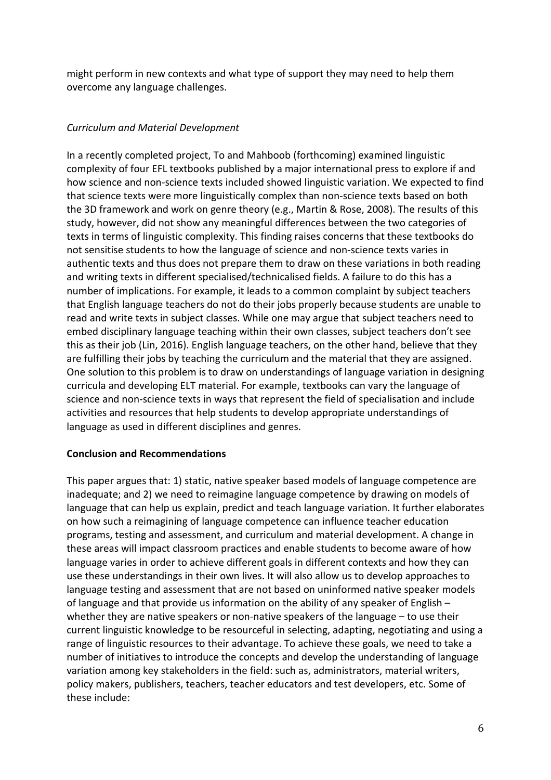might perform in new contexts and what type of support they may need to help them overcome any language challenges.

## *Curriculum and Material Development*

In a recently completed project, To and Mahboob (forthcoming) examined linguistic complexity of four EFL textbooks published by a major international press to explore if and how science and non-science texts included showed linguistic variation. We expected to find that science texts were more linguistically complex than non-science texts based on both the 3D framework and work on genre theory (e.g., Martin & Rose, 2008). The results of this study, however, did not show any meaningful differences between the two categories of texts in terms of linguistic complexity. This finding raises concerns that these textbooks do not sensitise students to how the language of science and non-science texts varies in authentic texts and thus does not prepare them to draw on these variations in both reading and writing texts in different specialised/technicalised fields. A failure to do this has a number of implications. For example, it leads to a common complaint by subject teachers that English language teachers do not do their jobs properly because students are unable to read and write texts in subject classes. While one may argue that subject teachers need to embed disciplinary language teaching within their own classes, subject teachers don't see this as their job (Lin, 2016). English language teachers, on the other hand, believe that they are fulfilling their jobs by teaching the curriculum and the material that they are assigned. One solution to this problem is to draw on understandings of language variation in designing curricula and developing ELT material. For example, textbooks can vary the language of science and non-science texts in ways that represent the field of specialisation and include activities and resources that help students to develop appropriate understandings of language as used in different disciplines and genres.

## **Conclusion and Recommendations**

This paper argues that: 1) static, native speaker based models of language competence are inadequate; and 2) we need to reimagine language competence by drawing on models of language that can help us explain, predict and teach language variation. It further elaborates on how such a reimagining of language competence can influence teacher education programs, testing and assessment, and curriculum and material development. A change in these areas will impact classroom practices and enable students to become aware of how language varies in order to achieve different goals in different contexts and how they can use these understandings in their own lives. It will also allow us to develop approaches to language testing and assessment that are not based on uninformed native speaker models of language and that provide us information on the ability of any speaker of English – whether they are native speakers or non-native speakers of the language – to use their current linguistic knowledge to be resourceful in selecting, adapting, negotiating and using a range of linguistic resources to their advantage. To achieve these goals, we need to take a number of initiatives to introduce the concepts and develop the understanding of language variation among key stakeholders in the field: such as, administrators, material writers, policy makers, publishers, teachers, teacher educators and test developers, etc. Some of these include: